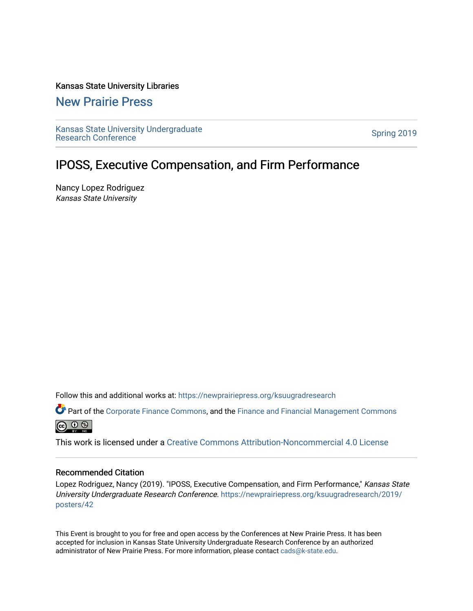## Kansas State University Libraries

## [New Prairie Press](https://newprairiepress.org/)

[Kansas State University Undergraduate](https://newprairiepress.org/ksuugradresearch)  Ransas State University Undergraduate<br>[Research Conference](https://newprairiepress.org/ksuugradresearch)

## IPOSS, Executive Compensation, and Firm Performance

Nancy Lopez Rodriguez Kansas State University

Follow this and additional works at: [https://newprairiepress.org/ksuugradresearch](https://newprairiepress.org/ksuugradresearch?utm_source=newprairiepress.org%2Fksuugradresearch%2F2019%2Fposters%2F42&utm_medium=PDF&utm_campaign=PDFCoverPages) 

Part of the [Corporate Finance Commons](http://network.bepress.com/hgg/discipline/629?utm_source=newprairiepress.org%2Fksuugradresearch%2F2019%2Fposters%2F42&utm_medium=PDF&utm_campaign=PDFCoverPages), and the Finance and Financial Management Commons  $\circledcirc$   $\circledcirc$ 

This work is licensed under a [Creative Commons Attribution-Noncommercial 4.0 License](https://creativecommons.org/licenses/by-nc/4.0/)

## Recommended Citation

Lopez Rodriguez, Nancy (2019). "IPOSS, Executive Compensation, and Firm Performance," Kansas State University Undergraduate Research Conference. [https://newprairiepress.org/ksuugradresearch/2019/](https://newprairiepress.org/ksuugradresearch/2019/posters/42) [posters/42](https://newprairiepress.org/ksuugradresearch/2019/posters/42) 

This Event is brought to you for free and open access by the Conferences at New Prairie Press. It has been accepted for inclusion in Kansas State University Undergraduate Research Conference by an authorized administrator of New Prairie Press. For more information, please contact [cads@k-state.edu](mailto:cads@k-state.edu).